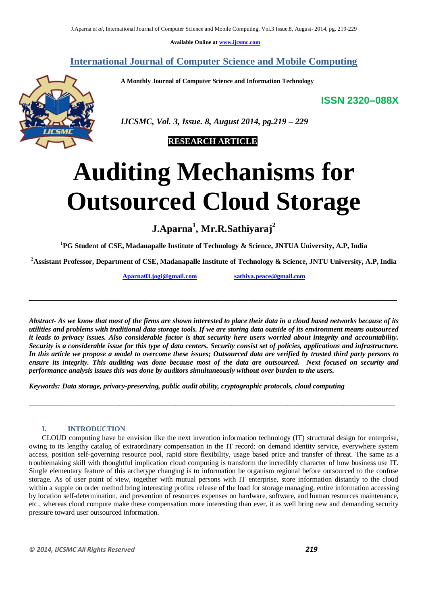**Available Online at www.ijcsmc.com**

# **International Journal of Computer Science and Mobile Computing**

 **A Monthly Journal of Computer Science and Information Technology**

**ISSN 2320–088X**



 *IJCSMC, Vol. 3, Issue. 8, August 2014, pg.219 – 229*



# **Auditing Mechanisms for Outsourced Cloud Storage**

**J.Aparna<sup>1</sup> , Mr.R.Sathiyaraj<sup>2</sup>**

**<sup>1</sup>PG Student of CSE, Madanapalle Institute of Technology & Science, JNTUA University, A.P, India**

**<sup>2</sup>Assistant Professor, Department of CSE, Madanapalle Institute of Technology & Science, JNTU University, A.P, India**

**\_\_\_\_\_\_\_\_\_\_\_\_\_\_\_\_\_\_\_\_\_\_\_\_\_\_\_\_\_\_\_\_\_\_\_\_\_\_\_\_\_\_\_\_\_\_\_\_\_\_\_\_\_\_\_\_\_**

**Aparna03.jogi@gmail.com sathiya.peace@gmail.com**

*Abstract- As we know that most of the firms are shown interested to place their data in a cloud based networks because of its utilities and problems with traditional data storage tools. If we are storing data outside of its environment means outsourced it leads to privacy issues. Also considerable factor is that security here users worried about integrity and accountability. Security is a considerable issue for this type of data centers. Security consist set of policies, applications and infrastructure. In this article we propose a model to overcome these issues; Outsourced data are verified by trusted third party persons to ensure its integrity. This auditing was done because most of the data are outsourced. Next focused on security and performance analysis issues this was done by auditors simultaneously without over burden to the users.*

\_\_\_\_\_\_\_\_\_\_\_\_\_\_\_\_\_\_\_\_\_\_\_\_\_\_\_\_\_\_\_\_\_\_\_\_\_\_\_\_\_\_\_\_\_\_\_\_\_\_\_\_\_\_\_\_\_\_\_\_\_\_\_\_\_\_\_\_\_\_\_\_\_\_\_\_\_\_\_\_\_\_\_\_\_

*Keywords: Data storage, privacy-preserving, public audit ability, cryptographic protocols, cloud computing*

# **I. INTRODUCTION**

CLOUD computing have be envision like the next invention information technology (IT) structural design for enterprise, owing to its lengthy catalog of extraordinary compensation in the IT record: on demand identity service, everywhere system access, position self-governing resource pool, rapid store flexibility, usage based price and transfer of threat. The same as a troublemaking skill with thoughtful implication cloud computing is transform the incredibly character of how business use IT. Single elementary feature of this archetype changing is to information be organism regional before outsourced to the confuse storage. As of user point of view, together with mutual persons with IT enterprise, store information distantly to the cloud within a supple on order method bring interesting profits: release of the load for storage managing, entire information accessing by location self-determination, and prevention of resources expenses on hardware, software, and human resources maintenance, etc., whereas cloud compute make these compensation more interesting than ever, it as well bring new and demanding security pressure toward user outsourced information.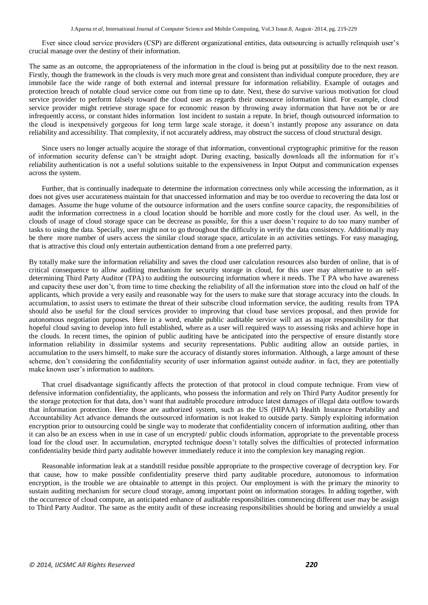Ever since cloud service providers (CSP) are different organizational entities, data outsourcing is actually relinquish user's crucial manage over the destiny of their information.

The same as an outcome, the appropriateness of the information in the cloud is being put at possibility due to the next reason. Firstly, though the framework in the clouds is very much more great and consistent than individual compute procedure, they are immobile face the wide range of both external and internal pressure for information reliability. Example of outages and protection breach of notable cloud service come out from time up to date. Next, these do survive various motivation for cloud service provider to perform falsely toward the cloud user as regards their outsource information kind. For example, cloud service provider might retrieve storage space for economic reason by throwing away information that have not be or are infrequently access, or constant hides information lost incident to sustain a repute. In brief, though outsourced information to the cloud is inexpensively gorgeous for long term large scale storage, it doesn't instantly propose any assurance on data reliability and accessibility. That complexity, if not accurately address, may obstruct the success of cloud structural design.

Since users no longer actually acquire the storage of that information, conventional cryptographic primitive for the reason of information security defense can't be straight adopt. During exacting, basically downloads all the information for it's reliability authentication is not a useful solutions suitable to the expensiveness in Input Output and communication expenses across the system.

Further, that is continually inadequate to determine the information correctness only while accessing the information, as it does not gives user accurateness maintain for that unaccessed information and may be too overdue to recovering the data lost or damages. Assume the huge volume of the outsource information and the users confine source capacity, the responsibilities of audit the information correctness in a cloud location should be horrible and more costly for the cloud user. As well, in the clouds of usage of cloud storage space can be decrease as possible, for this a user doesn't require to do too many number of tasks to using the data. Specially, user might not to go throughout the difficulty in verify the data consistency. Additionally may be there more number of users access the similar cloud storage space, articulate in an activities settings. For easy managing, that is attractive this cloud only entertain authentication demand from a one preferred party.

By totally make sure the information reliability and saves the cloud user calculation resources also burden of online, that is of critical consequence to allow auditing mechanism for security storage in cloud, for this user may alternative to an selfdetermining Third Party Auditor (TPA) to auditing the outsourcing information where it needs. The T PA who have awareness and capacity these user don't, from time to time checking the reliability of all the information store into the cloud on half of the applicants, which provide a very easily and reasonable way for the users to make sure that storage accuracy into the clouds. In accumulation, to assist users to estimate the threat of their subscribe cloud information service, the auditing results from TPA should also be useful for the cloud services provider to improving that cloud base services proposal, and then provide for autonomous negotiation purposes. Here in a word, enable public auditable service will act as major responsibility for that hopeful cloud saving to develop into full established, where as a user will required ways to assessing risks and achieve hope in the clouds. In recent times, the opinion of public auditing have be anticipated into the perspective of ensure distantly store information reliability in dissimilar systems and security representations. Public auditing allow an outside parties, in accumulation to the users himself, to make sure the accuracy of distantly stores information. Although, a large amount of these scheme, don't considering the confidentiality security of user information against outside auditor. in fact, they are potentially make known user's information to auditors.

That cruel disadvantage significantly affects the protection of that protocol in cloud compute technique. From view of defensive information confidentiality, the applicants, who possess the information and rely on Third Party Auditor presently for the storage protection for that data, don't want that auditable procedure introduce latest damages of illegal data outflow towards that information protection. Here those are authorized system, such as the US (HIPAA) Health Insurance Portability and Accountability Act advance demands the outsourced information is not leaked to outside party. Simply exploiting information encryption prior to outsourcing could be single way to moderate that confidentiality concern of information auditing, other than it can also be an excess when in use in case of un encrypted/ public clouds information, appropriate to the preventable process load for the cloud user. In accumulation, encrypted technique doesn't totally solves the difficulties of protected information confidentiality beside third party auditable however immediately reduce it into the complexion key managing region.

Reasonable information leak at a standstill residue possible appropriate to the prospective coverage of decryption key. For that cause, how to make possible confidentiality preserve third party auditable procedure, autonomous to information encryption, is the trouble we are obtainable to attempt in this project. Our employment is with the primary the minority to sustain auditing mechanism for secure cloud storage, among important point on information storages. In adding together, with the occurrence of cloud compute, an anticipated enhance of auditable responsibilities commencing different user may be assign to Third Party Auditor. The same as the entity audit of these increasing responsibilities should be boring and unwieldy a usual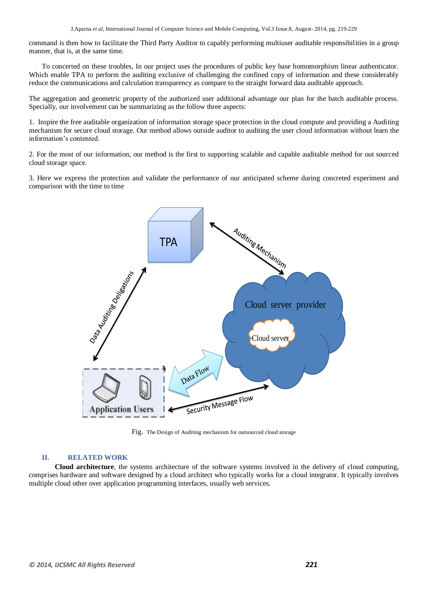command is then how to facilitate the Third Party Auditor to capably performing multiuser auditable responsibilities in a group manner, that is, at the same time.

To concerted on these troubles, In our project uses the procedures of public key base homomorphism linear authenticator. Which enable TPA to perform the auditing exclusive of challenging the confined copy of information and these considerably reduce the communications and calculation transparency as compare to the straight forward data auditable approach.

The aggregation and geometric property of the authorized user additional advantage our plan for the batch auditable process. Specially, our involvement can be summarizing as the follow three aspects:

1. Inspire the free auditable organization of information storage space protection in the cloud compute and providing a Auditing mechanism for secure cloud storage. Our method allows outside auditor to auditing the user cloud information without learn the information's contented.

2. For the most of our information, our method is the first to supporting scalable and capable auditable method for out sourced cloud storage space.

3. Here we express the protection and validate the performance of our anticipated scheme during concreted experiment and comparison with the time to time



Fig. The Design of Auditing mechanism for outsourced cloud storage

# **II. RELATED WORK**

**Cloud architecture**, the systems architecture of the software systems involved in the delivery of cloud computing, comprises hardware and software designed by a cloud architect who typically works for a cloud integrator. It typically involves multiple cloud other over application programming interfaces, usually web services.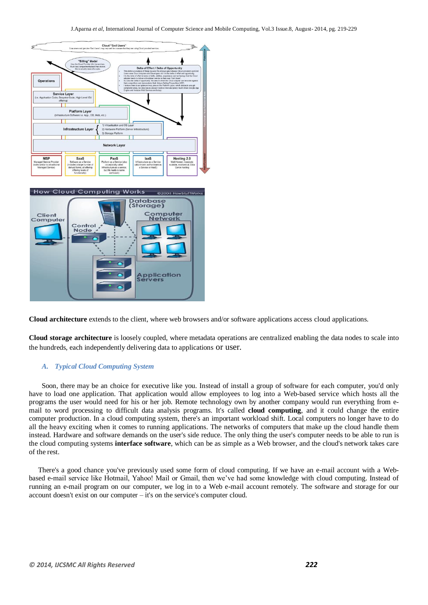

**Cloud architecture** extends to the client, where web browsers and/or software applications access cloud applications.

**Cloud storage architecture** is loosely coupled, where metadata operations are centralized enabling the data nodes to scale into the hundreds, each independently delivering data to applications or user.

## *A. Typical Cloud Computing System*

 Soon, there may be an choice for executive like you. Instead of install a group of software for each computer, you'd only have to load one application. That application would allow employees to log into a Web-based service which hosts all the programs the user would need for his or her job. Remote technology own by another company would run everything from email to word processing to difficult data analysis programs. It's called **cloud computing**, and it could change the entire computer production. In a cloud computing system, there's an important workload shift. Local computers no longer have to do all the heavy exciting when it comes to running applications. The networks of computers that make up the cloud handle them instead. Hardware and software demands on the user's side reduce. The only thing the user's computer needs to be able to run is the cloud computing systems **interface software**, which can be as simple as a Web browser, and the cloud's network takes care of the rest.

 There's a good chance you've previously used some form of cloud computing. If we have an e-mail account with a Webbased e-mail service like Hotmail, Yahoo! Mail or Gmail, then we've had some knowledge with cloud computing. Instead of running an e-mail program on our computer, we log in to a Web e-mail account remotely. The software and storage for our account doesn't exist on our computer – it's on the service's computer cloud.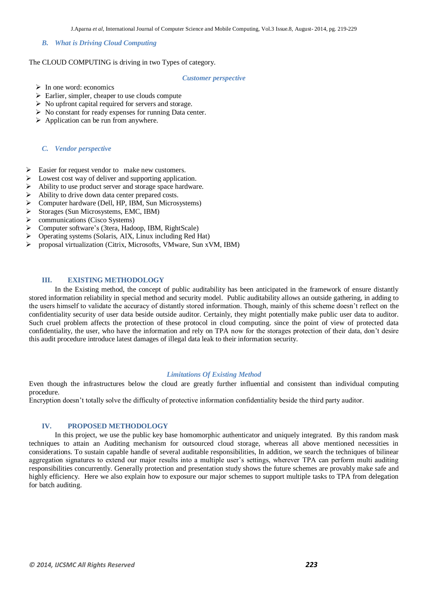#### *B. What is Driving Cloud Computing*

The CLOUD COMPUTING is driving in two Types of category.

#### *Customer perspective*

- $\triangleright$  In one word: economics
- $\triangleright$  Earlier, simpler, cheaper to use clouds compute
- $\triangleright$  No upfront capital required for servers and storage.
- $\triangleright$  No constant for ready expenses for running Data center.
- $\triangleright$  Application can be run from anywhere.

#### *C. Vendor perspective*

- $\triangleright$  Easier for request vendor to make new customers.
- Lowest cost way of deliver and supporting application.
- Ability to use product server and storage space hardware.
- Ability to drive down data center prepared costs.
- Computer hardware (Dell, HP, IBM, Sun Microsystems)
- Storages (Sun Microsystems, EMC, IBM)
- communications (Cisco Systems)
- Computer software's (3tera, Hadoop, IBM, RightScale)
- Operating systems (Solaris, AIX, Linux including Red Hat)
- proposal virtualization (Citrix, Microsofts, VMware, Sun xVM, IBM)

# **III. EXISTING METHODOLOGY**

In the Existing method, the concept of public auditability has been anticipated in the framework of ensure distantly stored information reliability in special method and security model. Public auditability allows an outside gathering, in adding to the users himself to validate the accuracy of distantly stored information. Though, mainly of this scheme doesn't reflect on the confidentiality security of user data beside outside auditor. Certainly, they might potentially make public user data to auditor. Such cruel problem affects the protection of these protocol in cloud computing. since the point of view of protected data confidentiality, the user, who have the information and rely on TPA now for the storages protection of their data, don't desire this audit procedure introduce latest damages of illegal data leak to their information security.

#### *Limitations Of Existing Method*

Even though the infrastructures below the cloud are greatly further influential and consistent than individual computing procedure.

Encryption doesn't totally solve the difficulty of protective information confidentiality beside the third party auditor.

### **IV. PROPOSED METHODOLOGY**

In this project, we use the public key base homomorphic authenticator and uniquely integrated. By this random mask techniques to attain an Auditing mechanism for outsourced cloud storage, whereas all above mentioned necessities in considerations. To sustain capable handle of several auditable responsibilities, In addition, we search the techniques of bilinear aggregation signatures to extend our major results into a multiple user's settings, wherever TPA can perform multi auditing responsibilities concurrently. Generally protection and presentation study shows the future schemes are provably make safe and highly efficiency. Here we also explain how to exposure our major schemes to support multiple tasks to TPA from delegation for batch auditing.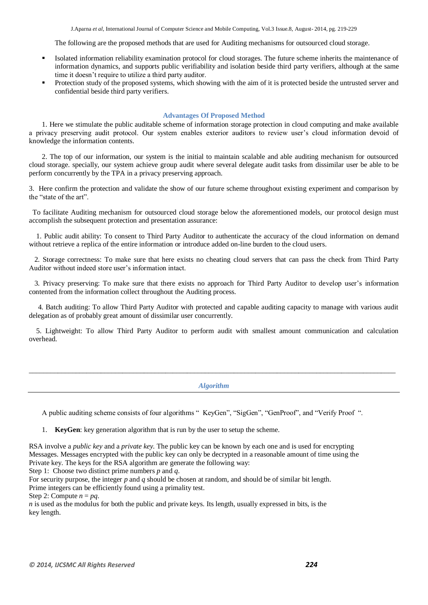The following are the proposed methods that are used for Auditing mechanisms for outsourced cloud storage.

- Isolated information reliability examination protocol for cloud storages. The future scheme inherits the maintenance of information dynamics, and supports public verifiability and isolation beside third party verifiers, although at the same time it doesn't require to utilize a third party auditor.
- Protection study of the proposed systems, which showing with the aim of it is protected beside the untrusted server and confidential beside third party verifiers.

## **Advantages Of Proposed Method**

1. Here we stimulate the public auditable scheme of information storage protection in cloud computing and make available a privacy preserving audit protocol. Our system enables exterior auditors to review user's cloud information devoid of knowledge the information contents.

2. The top of our information, our system is the initial to maintain scalable and able auditing mechanism for outsourced cloud storage. specially, our system achieve group audit where several delegate audit tasks from dissimilar user be able to be perform concurrently by the TPA in a privacy preserving approach.

3. Here confirm the protection and validate the show of our future scheme throughout existing experiment and comparison by the "state of the art".

 To facilitate Auditing mechanism for outsourced cloud storage below the aforementioned models, our protocol design must accomplish the subsequent protection and presentation assurance:

 1. Public audit ability: To consent to Third Party Auditor to authenticate the accuracy of the cloud information on demand without retrieve a replica of the entire information or introduce added on-line burden to the cloud users.

 2. Storage correctness: To make sure that here exists no cheating cloud servers that can pass the check from Third Party Auditor without indeed store user's information intact.

 3. Privacy preserving: To make sure that there exists no approach for Third Party Auditor to develop user's information contented from the information collect throughout the Auditing process.

 4. Batch auditing: To allow Third Party Auditor with protected and capable auditing capacity to manage with various audit delegation as of probably great amount of dissimilar user concurrently.

 5. Lightweight: To allow Third Party Auditor to perform audit with smallest amount communication and calculation overhead.

#### *Algorithm*

\_\_\_\_\_\_\_\_\_\_\_\_\_\_\_\_\_\_\_\_\_\_\_\_\_\_\_\_\_\_\_\_\_\_\_\_\_\_\_\_\_\_\_\_\_\_\_\_\_\_\_\_\_\_\_\_\_\_\_\_\_\_\_\_\_\_\_\_\_\_\_\_\_\_\_\_\_\_\_\_\_\_\_\_\_\_\_\_\_\_\_\_\_\_\_\_\_\_\_\_\_\_

A public auditing scheme consists of four algorithms " KeyGen", "SigGen", "GenProof", and "Verify Proof ".

1. **KeyGen**: key generation algorithm that is run by the user to setup the scheme.

RSA involve a *public key* and a *private key.* The public key can be known by each one and is used for encrypting Messages. Messages encrypted with the public key can only be decrypted in a reasonable amount of time using the Private key. The keys for the RSA algorithm are generate the following way:

Step 1: Choose two distinct prime numbers *p* and *q*.

For security purpose, the integer *p* and *q* should be chosen at random, and should be of similar bit length. Prime integers can be efficiently found using a primality test.

Step 2: Compute  $n = pq$ .

*n* is used as the modulus for both the public and private keys. Its length, usually expressed in bits, is the key length.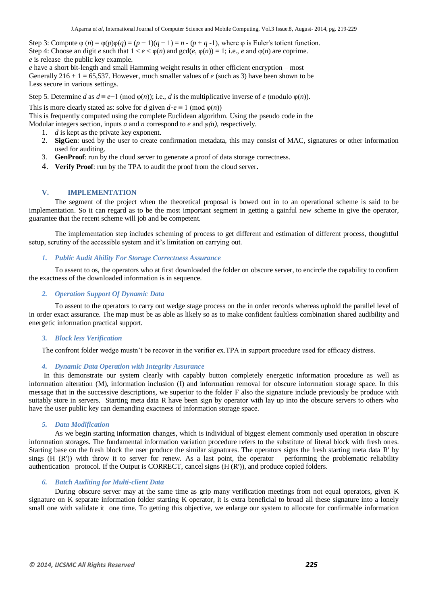Step 3: Compute  $\varphi$  (*n*) =  $\varphi$ (*p*) $\varphi$ (*q*) = (*p* − 1)(*q* − 1) = *n* − (*p* + *q* − 1), where  $\varphi$  is Euler's totient function. Step 4: Choose an digit *e* such that  $1 < e < \varphi(n)$  and  $gcd(e, \varphi(n)) = 1$ ; i.e., *e* and  $\varphi(n)$  are coprime. *e* is release the public key example.

*e* have a short bit-length and small Hamming weight results in other efficient encryption – most Generally  $216 + 1 = 65,537$ . However, much smaller values of *e* (such as 3) have been shown to be Less secure in various settings.

Step 5. Determine *d* as  $d \equiv e^{-1} \pmod{\varphi(n)}$ ; i.e., *d* is the multiplicative inverse of *e* (modulo  $\varphi(n)$ ).

This is more clearly stated as: solve for *d* given  $d \cdot e \equiv 1 \pmod{\varphi(n)}$ 

This is frequently computed using the complete Euclidean algorithm. Using the pseudo code in the

Modular integers section, inputs *a* and *n* correspond to *e* and *φ(*n*)*, respectively.

- 1. *d* is kept as the private key exponent.
- 2. **SigGen**: used by the user to create confirmation metadata, this may consist of MAC, signatures or other information used for auditing.
- 3. **GenProof**: run by the cloud server to generate a proof of data storage correctness.
- 4. **Verify Proof**: run by the TPA to audit the proof from the cloud server**.**

# **V. IMPLEMENTATION**

The segment of the project when the theoretical proposal is bowed out in to an operational scheme is said to be implementation. So it can regard as to be the most important segment in getting a gainful new scheme in give the operator, guarantee that the recent scheme will job and be competent.

The implementation step includes scheming of process to get different and estimation of different process, thoughtful setup, scrutiny of the accessible system and it's limitation on carrying out.

#### *1. Public Audit Ability For Storage Correctness Assurance*

To assent to os, the operators who at first downloaded the folder on obscure server, to encircle the capability to confirm the exactness of the downloaded information is in sequence.

# *2. Operation Support Of Dynamic Data*

To assent to the operators to carry out wedge stage process on the in order records whereas uphold the parallel level of in order exact assurance. The map must be as able as likely so as to make confident faultless combination shared audibility and energetic information practical support.

#### *3. Block less Verification*

The confront folder wedge mustn't be recover in the verifier ex.TPA in support procedure used for efficacy distress.

## *4. Dynamic Data Operation with Integrity Assurance*

In this demonstrate our system clearly with capably button completely energetic information procedure as well as information alteration (M), information inclusion (I) and information removal for obscure information storage space. In this message that in the successive descriptions, we superior to the folder F also the signature include previously be produce with suitably store in servers. Starting meta data R have been sign by operator with lay up into the obscure servers to others who have the user public key can demanding exactness of information storage space.

#### *5. Data Modification*

As we begin starting information changes, which is individual of biggest element commonly used operation in obscure information storages. The fundamental information variation procedure refers to the substitute of literal block with fresh ones. Starting base on the fresh block the user produce the similar signatures. The operators signs the fresh starting meta data R′ by sings  $(H (R'))$  with throw it to server for renew. As a last point, the operator performing the problematic reliability authentication protocol. If the Output is CORRECT, cancel signs  $(H (R'))$ , and produce copied folders.

# *6. Batch Auditing for Multi-client Data*

During obscure server may at the same time as grip many verification meetings from not equal operators, given K signature on K separate information folder starting K operator, it is extra beneficial to broad all these signature into a lonely small one with validate it one time. To getting this objective, we enlarge our system to allocate for confirmable information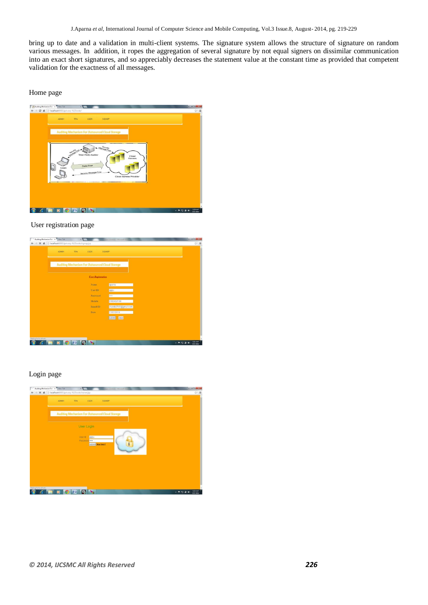bring up to date and a validation in multi-client systems. The signature system allows the structure of signature on random various messages. In addition, it ropes the aggregation of several signature by not equal signers on dissimilar communication into an exact short signatures, and so appreciably decreases the statement value at the constant time as provided that competent validation for the exactness of all messages.

Home page



User registration page



# Login page

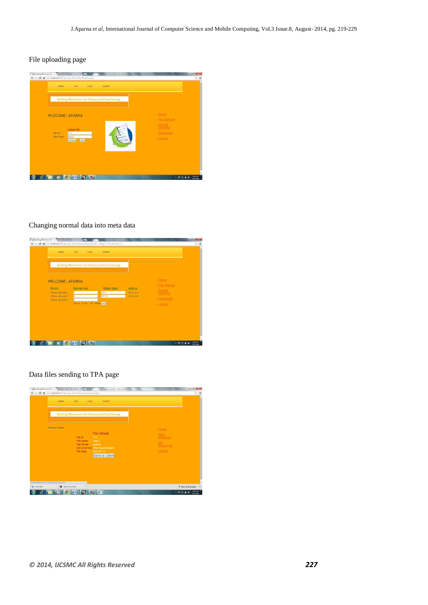# File uploading page

| Auditing Mechanism For x M TATA STEEL UK - chanism x<br>← → C 音 D localhost 8081/privacy-%20code/fileupload.jsp<br><b>ADMIN</b><br><b>TPA</b><br><b>USER</b><br><b>SIGNUP</b> | <b>BOOKER</b><br>☆ ■                  |
|-------------------------------------------------------------------------------------------------------------------------------------------------------------------------------|---------------------------------------|
| <b>Auditing Mechanism For Outsourced Cloud Storege</b>                                                                                                                        |                                       |
| <b>WLECOME: APARNA</b>                                                                                                                                                        | $.$ Home<br>- File Upload<br>- Packet |
| <b>Upload File</b><br>712<br>File Id<br>mech<br><b>File Name</b><br>clear<br>Continue                                                                                         | Sending<br>· Download<br>$-Logout$    |
|                                                                                                                                                                               |                                       |
| П<br>圕<br>×.                                                                                                                                                                  | 626 AM<br>- P D @ 48<br>7/2/2014      |

## Changing normal data into meta data



# Data files sending to TPA page

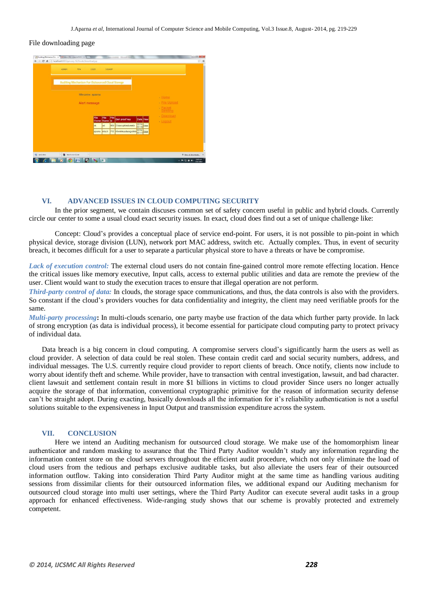#### File downloading page



#### **VI. ADVANCED ISSUES IN CLOUD COMPUTING SECURITY**

In the prior segment, we contain discuses common set of safety concern useful in public and hybrid clouds. Currently circle our center to some a usual cloud exact security issues. In exact, cloud does find out a set of unique challenge like:

Concept: Cloud's provides a conceptual place of service end-point. For users, it is not possible to pin-point in which physical device, storage division (LUN), network port MAC address, switch etc. Actually complex. Thus, in event of security breach, it becomes difficult for a user to separate a particular physical store to have a threats or have be compromise.

*Lack of execution control:* The external cloud users do not contain fine-gained control more remote effecting location. Hence the critical issues like memory executive, Input calls, access to external public utilities and data are remote the preview of the user. Client would want to study the execution traces to ensure that illegal operation are not perform.

*Third-party control of data:* In clouds, the storage space communications, and thus, the data controls is also with the providers. So constant if the cloud's providers vouches for data confidentiality and integrity, the client may need verifiable proofs for the same.

*Multi-party processing***:** In multi-clouds scenario, one party maybe use fraction of the data which further party provide. In lack of strong encryption (as data is individual process), it become essential for participate cloud computing party to protect privacy of individual data.

Data breach is a big concern in cloud computing. A compromise servers cloud's significantly harm the users as well as cloud provider. A selection of data could be real stolen. These contain credit card and social security numbers, address, and individual messages. The U.S. currently require cloud provider to report clients of breach. Once notify, clients now include to worry about identify theft and scheme. While provider, have to transaction with central investigation, lawsuit, and bad character. client lawsuit and settlement contain result in more \$1 billions in victims to cloud provider Since users no longer actually acquire the storage of that information, conventional cryptographic primitive for the reason of information security defense can't be straight adopt. During exacting, basically downloads all the information for it's reliability authentication is not a useful solutions suitable to the expensiveness in Input Output and transmission expenditure across the system.

#### **VII. CONCLUSION**

Here we intend an Auditing mechanism for outsourced cloud storage. We make use of the homomorphism linear authenticator and random masking to assurance that the Third Party Auditor wouldn't study any information regarding the information content store on the cloud servers throughout the efficient audit procedure, which not only eliminate the load of cloud users from the tedious and perhaps exclusive auditable tasks, but also alleviate the users fear of their outsourced information outflow. Taking into consideration Third Party Auditor might at the same time as handling various auditing sessions from dissimilar clients for their outsourced information files, we additional expand our Auditing mechanism for outsourced cloud storage into multi user settings, where the Third Party Auditor can execute several audit tasks in a group approach for enhanced effectiveness. Wide-ranging study shows that our scheme is provably protected and extremely competent.